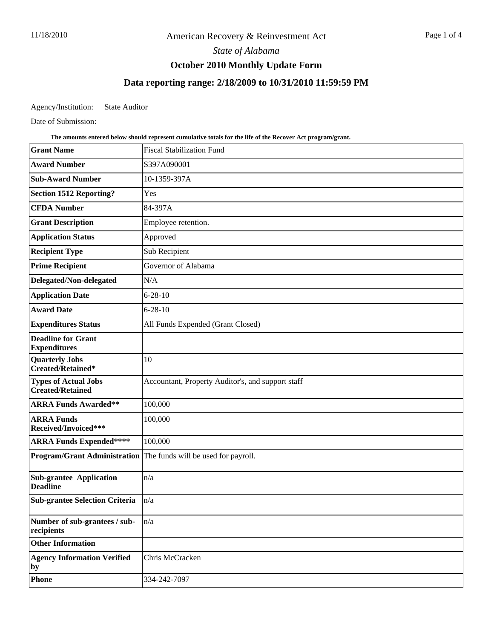*State of Alabama*

# **October 2010 Monthly Update Form**

# **Data reporting range: 2/18/2009 to 10/31/2010 11:59:59 PM**

Agency/Institution: State Auditor

Date of Submission:

**The amounts entered below should represent cumulative totals for the life of the Recover Act program/grant.**

| <b>Grant Name</b>                                      | <b>Fiscal Stabilization Fund</b>                                 |
|--------------------------------------------------------|------------------------------------------------------------------|
| <b>Award Number</b>                                    | S397A090001                                                      |
| <b>Sub-Award Number</b>                                | 10-1359-397A                                                     |
| <b>Section 1512 Reporting?</b>                         | Yes                                                              |
| <b>CFDA Number</b>                                     | 84-397A                                                          |
| <b>Grant Description</b>                               | Employee retention.                                              |
| <b>Application Status</b>                              | Approved                                                         |
| <b>Recipient Type</b>                                  | Sub Recipient                                                    |
| <b>Prime Recipient</b>                                 | Governor of Alabama                                              |
| Delegated/Non-delegated                                | N/A                                                              |
| <b>Application Date</b>                                | $6 - 28 - 10$                                                    |
| <b>Award Date</b>                                      | $6 - 28 - 10$                                                    |
| <b>Expenditures Status</b>                             | All Funds Expended (Grant Closed)                                |
| <b>Deadline for Grant</b><br><b>Expenditures</b>       |                                                                  |
| <b>Quarterly Jobs</b><br>Created/Retained*             | 10                                                               |
| <b>Types of Actual Jobs</b><br><b>Created/Retained</b> | Accountant, Property Auditor's, and support staff                |
| <b>ARRA Funds Awarded**</b>                            | 100,000                                                          |
| <b>ARRA Funds</b><br>Received/Invoiced***              | 100,000                                                          |
| <b>ARRA Funds Expended****</b>                         | 100,000                                                          |
|                                                        | Program/Grant Administration The funds will be used for payroll. |
| <b>Sub-grantee Application</b><br><b>Deadline</b>      | n/a                                                              |
| <b>Sub-grantee Selection Criteria</b>                  | n/a                                                              |
| Number of sub-grantees / sub-<br>recipients            | n/a                                                              |
| <b>Other Information</b>                               |                                                                  |
| <b>Agency Information Verified</b><br>by               | Chris McCracken                                                  |
| <b>Phone</b>                                           | 334-242-7097                                                     |